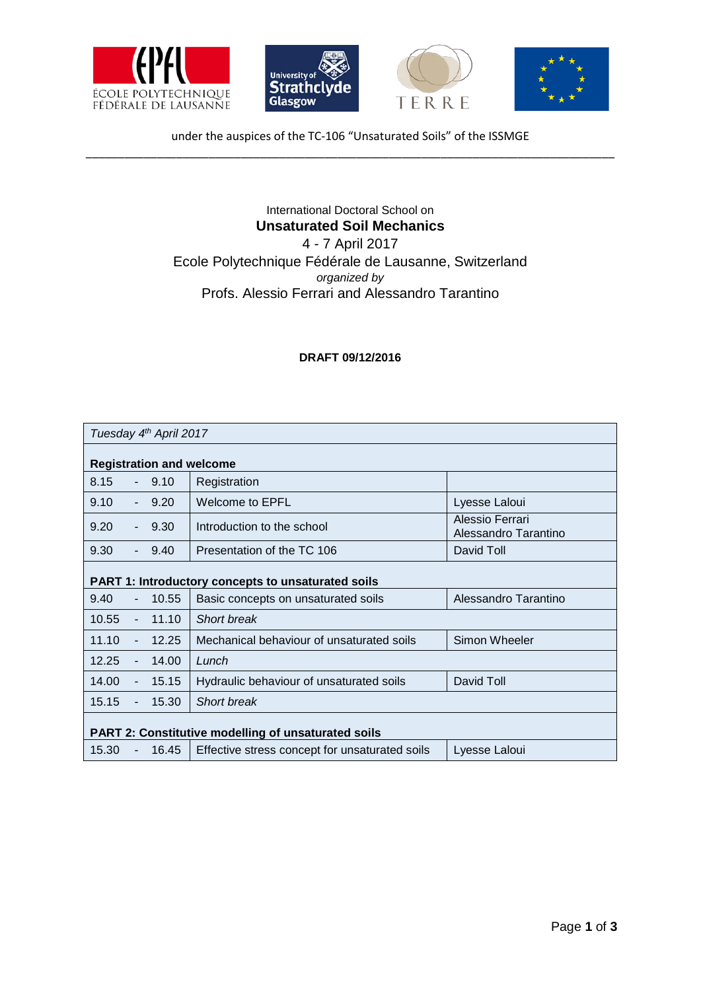







under the auspices of the TC-106 "Unsaturated Soils" of the ISSMGE \_\_\_\_\_\_\_\_\_\_\_\_\_\_\_\_\_\_\_\_\_\_\_\_\_\_\_\_\_\_\_\_\_\_\_\_\_\_\_\_\_\_\_\_\_\_\_\_\_\_\_\_\_\_\_\_\_\_\_\_\_\_\_\_\_\_\_\_\_\_\_\_\_\_\_\_\_\_\_\_\_\_

## International Doctoral School on **Unsaturated Soil Mechanics** 4 - 7 April 2017

Ecole Polytechnique Fédérale de Lausanne, Switzerland *organized by* Profs. Alessio Ferrari and Alessandro Tarantino

## **DRAFT 09/12/2016**

| Tuesday 4th April 2017                                     |                |         |                                                |                                         |  |  |
|------------------------------------------------------------|----------------|---------|------------------------------------------------|-----------------------------------------|--|--|
| <b>Registration and welcome</b>                            |                |         |                                                |                                         |  |  |
| 8.15                                                       |                | $-9.10$ | Registration                                   |                                         |  |  |
| 9.10                                                       | $\sim$         | 9.20    | <b>Welcome to EPFL</b>                         | Lyesse Laloui                           |  |  |
| 9.20                                                       | $\sim$         | 9.30    | Introduction to the school                     | Alessio Ferrari<br>Alessandro Tarantino |  |  |
| 9.30                                                       |                | 9.40    | Presentation of the TC 106                     | David Toll                              |  |  |
| <b>PART 1: Introductory concepts to unsaturated soils</b>  |                |         |                                                |                                         |  |  |
| 9.40                                                       |                | 10.55   | Basic concepts on unsaturated soils            | Alessandro Tarantino                    |  |  |
| 10.55                                                      | $\blacksquare$ | 11.10   | <b>Short break</b>                             |                                         |  |  |
| 11.10                                                      | $\blacksquare$ | 12.25   | Mechanical behaviour of unsaturated soils      | Simon Wheeler                           |  |  |
| 12.25                                                      | $\blacksquare$ | 14.00   | Lunch                                          |                                         |  |  |
| 14.00                                                      | ä,             | 15.15   | Hydraulic behaviour of unsaturated soils       | David Toll                              |  |  |
| 15.15                                                      | $\blacksquare$ | 15.30   | <b>Short break</b>                             |                                         |  |  |
| <b>PART 2: Constitutive modelling of unsaturated soils</b> |                |         |                                                |                                         |  |  |
| 15.30                                                      | ÷,             | 16.45   | Effective stress concept for unsaturated soils | Lyesse Laloui                           |  |  |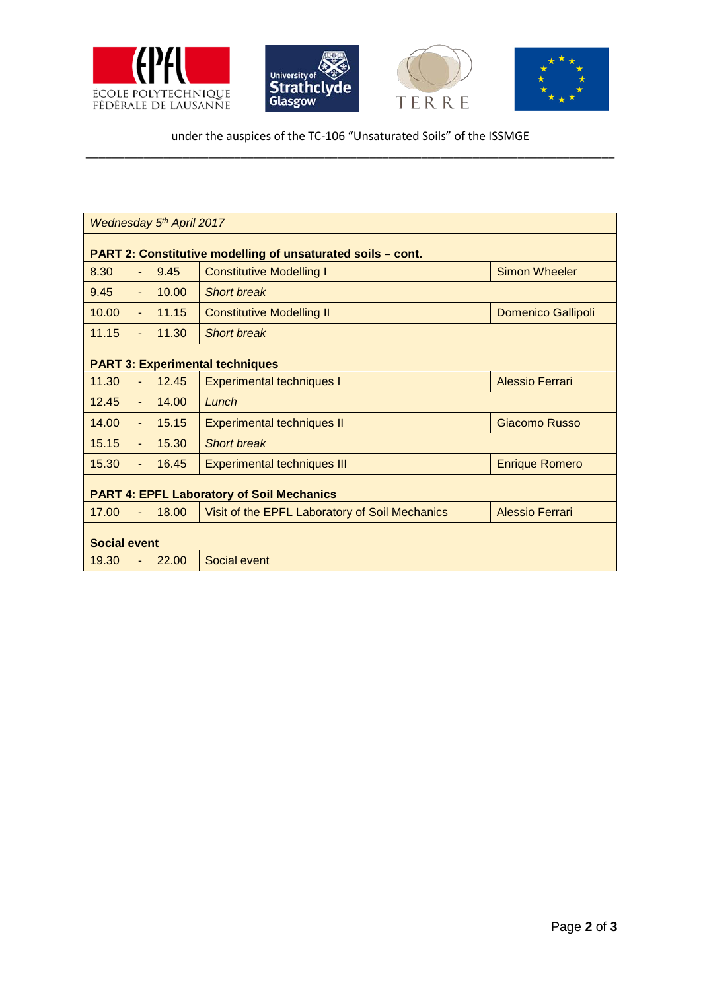



under the auspices of the TC-106 "Unsaturated Soils" of the ISSMGE \_\_\_\_\_\_\_\_\_\_\_\_\_\_\_\_\_\_\_\_\_\_\_\_\_\_\_\_\_\_\_\_\_\_\_\_\_\_\_\_\_\_\_\_\_\_\_\_\_\_\_\_\_\_\_\_\_\_\_\_\_\_\_\_\_\_\_\_\_\_\_\_\_\_\_\_\_\_\_\_\_\_

| Wednesday 5th April 2017                                           |                                                |                           |  |  |  |  |
|--------------------------------------------------------------------|------------------------------------------------|---------------------------|--|--|--|--|
| <b>PART 2: Constitutive modelling of unsaturated soils - cont.</b> |                                                |                           |  |  |  |  |
| 8.30<br>9.45                                                       | <b>Constitutive Modelling I</b>                | <b>Simon Wheeler</b>      |  |  |  |  |
| 9.45<br>10.00<br>$\blacksquare$                                    | <b>Short break</b>                             |                           |  |  |  |  |
| 10.00<br>11.15<br>$\blacksquare$                                   | <b>Constitutive Modelling II</b>               | <b>Domenico Gallipoli</b> |  |  |  |  |
| 11.15<br>11.30<br>$\omega$                                         | <b>Short break</b>                             |                           |  |  |  |  |
| <b>PART 3: Experimental techniques</b>                             |                                                |                           |  |  |  |  |
| 11.30<br>12.45                                                     | <b>Experimental techniques I</b>               | <b>Alessio Ferrari</b>    |  |  |  |  |
| 12.45<br>14.00<br>$\blacksquare$                                   | Lunch                                          |                           |  |  |  |  |
| 14.00<br>15.15<br>$\blacksquare$                                   | <b>Experimental techniques II</b>              | Giacomo Russo             |  |  |  |  |
| 15.15<br>15.30<br>$\omega$                                         | <b>Short break</b>                             |                           |  |  |  |  |
| 15.30<br>16.45<br>$\blacksquare$                                   | <b>Experimental techniques III</b>             | <b>Enrique Romero</b>     |  |  |  |  |
| <b>PART 4: EPFL Laboratory of Soil Mechanics</b>                   |                                                |                           |  |  |  |  |
| 17.00<br>18.00                                                     | Visit of the EPFL Laboratory of Soil Mechanics | Alessio Ferrari           |  |  |  |  |
| <b>Social event</b>                                                |                                                |                           |  |  |  |  |
| 22.00<br>19.30                                                     | Social event                                   |                           |  |  |  |  |